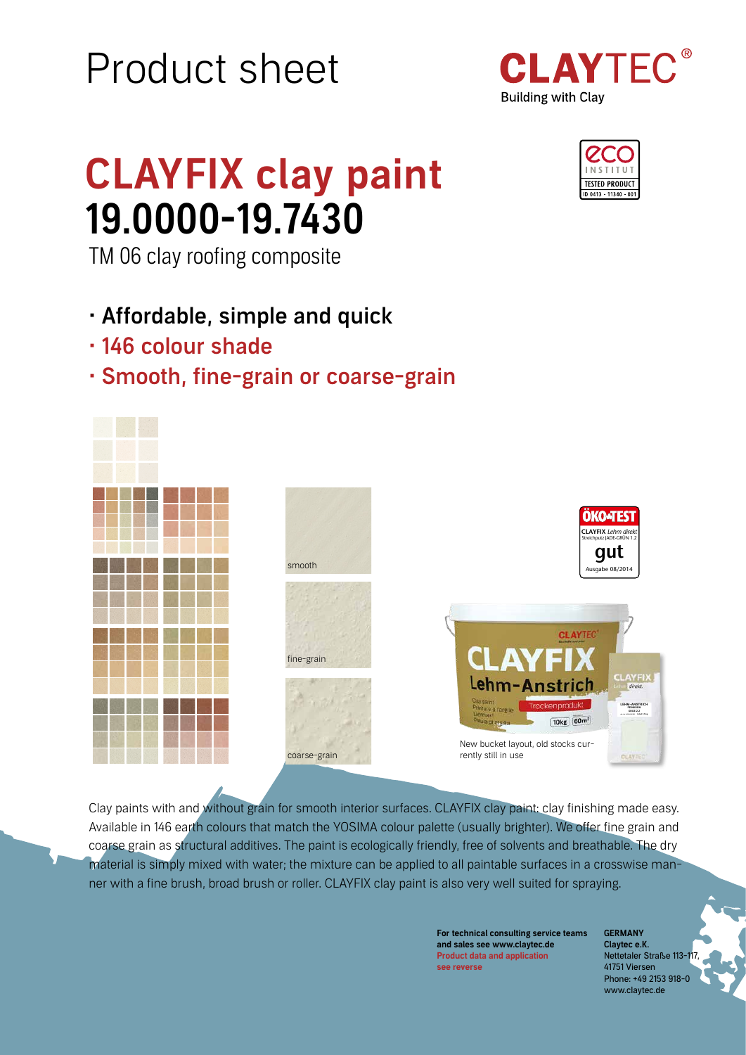# Product sheet



## CLAYFIX clay paint 19.0000-19.7430

TM 06 clay roofing composite

- Affordable, simple and quick
- 146 colour shade
- Smooth, fine-grain or coarse-grain





Clay paints with and without grain for smooth interior surfaces. CLAYFIX clay paint: clay finishing made easy. Available in 146 earth colours that match the YOSIMA colour palette (usually brighter). We offer fine grain and coarse grain as structural additives. The paint is ecologically friendly, free of solvents and breathable. The dry material is simply mixed with water; the mixture can be applied to all paintable surfaces in a crosswise manner with a fine brush, broad brush or roller. CLAYFIX clay paint is also very well suited for spraying.

> For technical consulting service teams and sales see www.claytec.de Product data and application see reverse

**GERMANY** Claytec e.K. Nettetaler Straße 113-1 41751 Viersen Phone: +49 2153 918-0 www.claytec.de